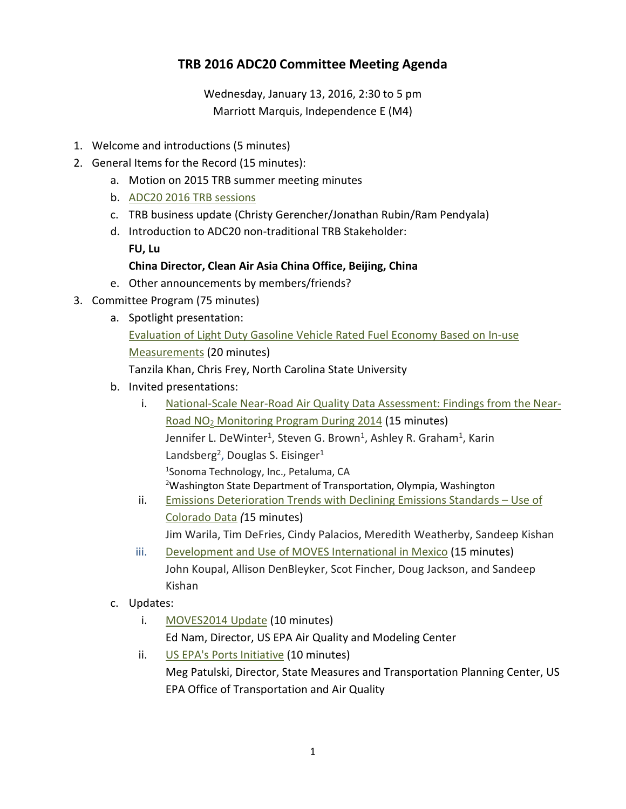## **TRB 2016 ADC20 Committee Meeting Agenda**

Wednesday, January 13, 2016, 2:30 to 5 pm Marriott Marquis, Independence E (M4)

- 1. Welcome and introductions (5 minutes)
- 2. General Items for the Record (15 minutes):
	- a. Motion on 2015 TRB summer meeting minutes
	- b. ADC20 2016 [TRB sessions](http://www.trbairquality.org/wp-content/uploads/2016/03/TRB2016AMEnvEnergy.pdf)
	- c. TRB business update (Christy Gerencher/Jonathan Rubin/Ram Pendyala)
	- d. Introduction to ADC20 non-traditional TRB Stakeholder:
		- **FU, Lu**

## **China Director, Clean Air Asia China Office, Beijing, China**

- e. Other announcements by members/friends?
- 3. Committee Program (75 minutes)
	- a. Spotlight presentation: [Evaluation of Light Duty Gasoline Vehicle Rated Fuel Economy Based on In-use](http://www.trbairquality.org/wp-content/uploads/2016/03/TRB-Presentation_Tanzila_160113.pdf)  [Measurements](http://www.trbairquality.org/wp-content/uploads/2016/03/TRB-Presentation_Tanzila_160113.pdf) (20 minutes) Tanzila Khan, Chris Frey, North Carolina State University
	- b. Invited presentations:
		- i. [National-Scale Near-Road Air Quality Data Assessment: Findings from the Near-](http://www.trbairquality.org/wp-content/uploads/2016/03/Graham-TRB-2015-National-Near-Road-Data-FINAL.pdf)Road NO2 [Monitoring Program During 2014](http://www.trbairquality.org/wp-content/uploads/2016/03/Graham-TRB-2015-National-Near-Road-Data-FINAL.pdf) (15 minutes) Jennifer L. DeWinter<sup>1</sup>, Steven G. Brown<sup>1</sup>, Ashley R. Graham<sup>1</sup>, Karin Landsberg<sup>2</sup>, Douglas S. Eisinger<sup>1</sup> 1 Sonoma Technology, Inc., Petaluma, CA <sup>2</sup>Washington State Department of Transportation, Olympia, Washington
		- ii. [Emissions Deterioration Trends with Declining Emissions Standards –](http://www.trbairquality.org/wp-content/uploads/2016/03/Kishan_Tier2_deterioration-forADC20.pdf) Use of [Colorado Data](http://www.trbairquality.org/wp-content/uploads/2016/03/Kishan_Tier2_deterioration-forADC20.pdf) *(*15 minutes) Jim Warila, Tim DeFries, Cindy Palacios, Meredith Weatherby, Sandeep Kishan
		- iii. [Development and Use of MOVES International in Mexico](http://www.trbairquality.org/wp-content/uploads/2016/03/ADC20-Koupal-MOVES_Mexico.pdf) (15 minutes) John Koupal, Allison DenBleyker, Scot Fincher, Doug Jackson, and Sandeep Kishan
	- c. Updates:
		- i. [MOVES2014 Update](http://www.trbairquality.org/wp-content/uploads/2016/03/ENAM_trb_moves_update_20160112pptx.pdf) (10 minutes) Ed Nam, Director, US EPA Air Quality and Modeling Center
		- ii. US EPA's Ports [Initiative](http://www.trbairquality.org/wp-content/uploads/2016/03/TRB-Ports-Initiative-Update_1-2016.pdf) (10 minutes) Meg Patulski, Director, State Measures and Transportation Planning Center, US EPA Office of Transportation and Air Quality